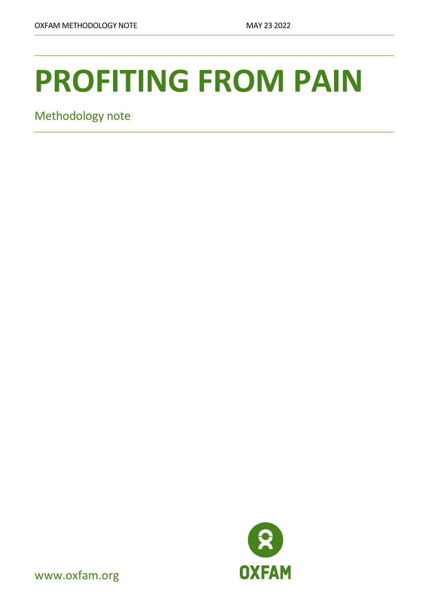# **PROFITING FROM PAIN**

Methodology note



www.oxfam.org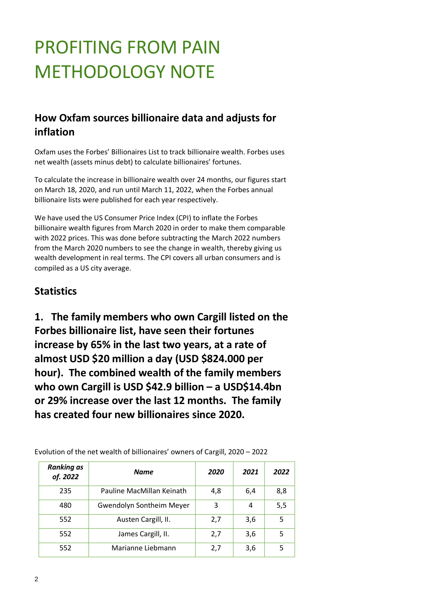# PROFITING FROM PAIN METHODOLOGY NOTE

#### **How Oxfam sources billionaire data and adjusts for inflation**

Oxfam uses the Forbes' Billionaires List to track billionaire wealth. Forbes uses net wealth (assets minus debt) to calculate billionaires' fortunes.

To calculate the increase in billionaire wealth over 24 months, our figures start on March 18, 2020, and run until March 11, 2022, when the Forbes annual billionaire lists were published for each year respectively.

We have used the US Consumer Price Index (CPI) to inflate the Forbes billionaire wealth figures from March 2020 in order to make them comparable with 2022 prices. This was done before subtracting the March 2022 numbers from the March 2020 numbers to see the change in wealth, thereby giving us wealth development in real terms. The CPI covers all urban consumers and is compiled as a US city average.

#### **Statistics**

**1. The family members who own Cargill listed on the Forbes billionaire list, have seen their fortunes increase by 65% in the last two years, at a rate of almost USD \$20 million a day (USD \$824.000 per hour). The combined wealth of the family members who own Cargill is USD \$42.9 billion – a USD\$14.4bn or 29% increase over the last 12 months. The family has created four new billionaires since 2020.**

| <b>Ranking as</b><br>of. 2022 | <b>Name</b>               | 2020 | 2021 | 2022 |
|-------------------------------|---------------------------|------|------|------|
| 235                           | Pauline MacMillan Keinath | 4,8  | 6,4  | 8,8  |
| 480                           | Gwendolyn Sontheim Meyer  | 3    | 4    | 5,5  |
| 552                           | Austen Cargill, II.       | 2,7  | 3,6  | 5    |
| 552                           | James Cargill, II.        | 2,7  | 3,6  | 5    |
| 552                           | Marianne Liebmann         | 2,7  | 3,6  | 5    |

Evolution of the net wealth of billionaires' owners of Cargill, 2020 – 2022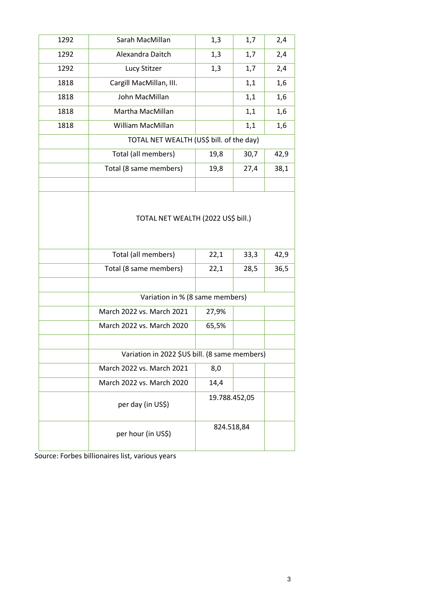| 1292 | Sarah MacMillan                               | 1,3<br>1,7    |      | 2,4  |
|------|-----------------------------------------------|---------------|------|------|
| 1292 | Alexandra Daitch                              | 1,3           | 1,7  | 2,4  |
| 1292 | Lucy Stitzer                                  | 1,3           | 1,7  | 2,4  |
| 1818 | Cargill MacMillan, III.                       |               | 1,1  | 1,6  |
| 1818 | John MacMillan                                |               | 1,1  | 1,6  |
| 1818 | Martha MacMillan                              |               | 1,1  | 1,6  |
| 1818 | William MacMillan                             |               | 1,1  | 1,6  |
|      | TOTAL NET WEALTH (US\$ bill. of the day)      |               |      |      |
|      | Total (all members)                           | 19,8          | 30,7 | 42,9 |
|      | Total (8 same members)                        | 19,8          | 27,4 | 38,1 |
|      |                                               |               |      |      |
|      | TOTAL NET WEALTH (2022 US\$ bill.)            |               |      |      |
|      | Total (all members)                           | 22,1          | 33,3 | 42,9 |
|      | Total (8 same members)<br>22,1                |               | 28,5 | 36,5 |
|      |                                               |               |      |      |
|      | Variation in % (8 same members)               |               |      |      |
|      | March 2022 vs. March 2021<br>27,9%            |               |      |      |
|      | March 2022 vs. March 2020                     | 65,5%         |      |      |
|      |                                               |               |      |      |
|      | Variation in 2022 \$US bill. (8 same members) |               |      |      |
|      | March 2022 vs. March 2021                     | 8,0           |      |      |
|      | March 2022 vs. March 2020<br>14,4             |               |      |      |
|      | per day (in US\$)                             | 19.788.452,05 |      |      |
|      | per hour (in US\$)                            | 824.518,84    |      |      |
|      |                                               |               |      |      |

Source: Forbes billionaires list, various years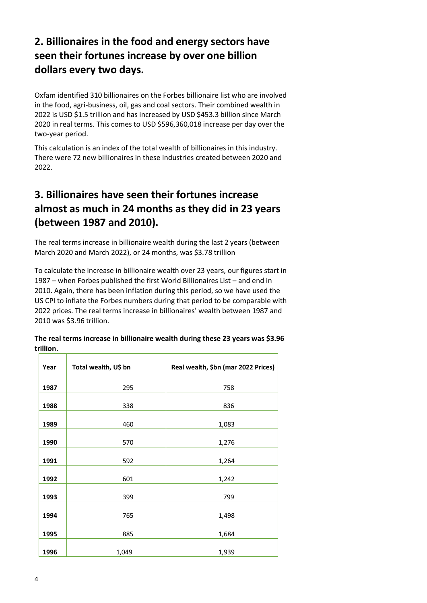#### **2. Billionaires in the food and energy sectors have seen their fortunes increase by over one billion dollars every two days.**

Oxfam identified 310 billionaires on the Forbes billionaire list who are involved in the food, agri-business, oil, gas and coal sectors. Their combined wealth in 2022 is USD \$1.5 trillion and has increased by USD \$453.3 billion since March 2020 in real terms. This comes to USD \$596,360,018 increase per day over the two-year period.

This calculation is an index of the total wealth of billionaires in this industry. There were 72 new billionaires in these industries created between 2020 and 2022.

#### **3. Billionaires have seen their fortunes increase almost as much in 24 months as they did in 23 years (between 1987 and 2010).**

The real terms increase in billionaire wealth during the last 2 years (between March 2020 and March 2022), or 24 months, was \$3.78 trillion

To calculate the increase in billionaire wealth over 23 years, our figures start in 1987 – when Forbes published the first World Billionaires List – and end in 2010. Again, there has been inflation during this period, so we have used the US CPI to inflate the Forbes numbers during that period to be comparable with 2022 prices. The real terms increase in billionaires' wealth between 1987 and 2010 was \$3.96 trillion.

| Year | Total wealth, U\$ bn | Real wealth, \$bn (mar 2022 Prices) |
|------|----------------------|-------------------------------------|
|      |                      |                                     |
| 1987 | 295                  | 758                                 |
|      |                      |                                     |
| 1988 | 338                  | 836                                 |
|      |                      |                                     |
| 1989 | 460                  | 1,083                               |
|      |                      |                                     |
|      |                      |                                     |
| 1990 | 570                  | 1,276                               |
|      |                      |                                     |
| 1991 | 592                  | 1,264                               |
|      |                      |                                     |
| 1992 | 601                  | 1,242                               |
|      |                      |                                     |
| 1993 | 399                  | 799                                 |
|      |                      |                                     |
|      |                      |                                     |
| 1994 | 765                  | 1,498                               |
|      |                      |                                     |
| 1995 | 885                  | 1,684                               |
|      |                      |                                     |
| 1996 | 1,049                | 1,939                               |

**The real terms increase in billionaire wealth during these 23 years was \$3.96 trillion.**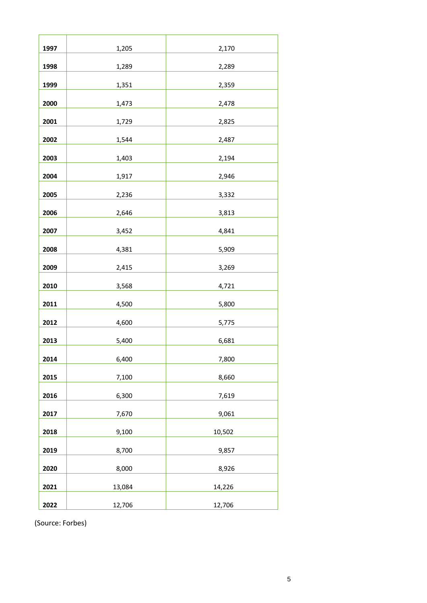| 1997 | 1,205  | 2,170  |
|------|--------|--------|
| 1998 | 1,289  | 2,289  |
| 1999 | 1,351  | 2,359  |
| 2000 | 1,473  | 2,478  |
| 2001 | 1,729  | 2,825  |
| 2002 | 1,544  | 2,487  |
| 2003 | 1,403  | 2,194  |
| 2004 | 1,917  | 2,946  |
| 2005 | 2,236  | 3,332  |
| 2006 | 2,646  | 3,813  |
| 2007 | 3,452  | 4,841  |
| 2008 | 4,381  | 5,909  |
| 2009 | 2,415  | 3,269  |
| 2010 | 3,568  | 4,721  |
| 2011 | 4,500  | 5,800  |
| 2012 | 4,600  | 5,775  |
| 2013 | 5,400  | 6,681  |
| 2014 | 6,400  | 7,800  |
| 2015 | 7,100  | 8,660  |
| 2016 | 6,300  | 7,619  |
| 2017 | 7,670  | 9,061  |
| 2018 | 9,100  | 10,502 |
| 2019 | 8,700  | 9,857  |
| 2020 | 8,000  | 8,926  |
| 2021 | 13,084 | 14,226 |
| 2022 | 12,706 | 12,706 |

(Source: Forbes)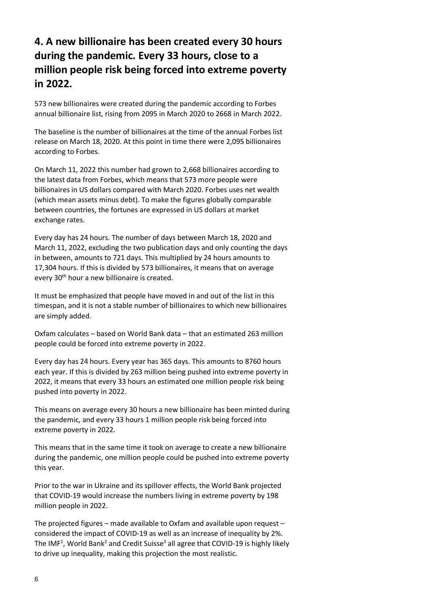#### **4. A new billionaire has been created every 30 hours during the pandemic. Every 33 hours, close to a million people risk being forced into extreme poverty in 2022.**

573 new billionaires were created during the pandemic according to Forbes annual billionaire list, rising from 2095 in March 2020 to 2668 in March 2022.

The baseline is the number of billionaires at the time of the annual Forbes list release on March 18, 2020. At this point in time there were 2,095 billionaires according to Forbes.

On March 11, 2022 this number had grown to 2,668 billionaires according to the latest data from Forbes, which means that 573 more people were billionaires in US dollars compared with March 2020. Forbes uses net wealth (which mean assets minus debt). To make the figures globally comparable between countries, the fortunes are expressed in US dollars at market exchange rates.

Every day has 24 hours. The number of days between March 18, 2020 and March 11, 2022, excluding the two publication days and only counting the days in between, amounts to 721 days. This multiplied by 24 hours amounts to 17,304 hours. If this is divided by 573 billionaires, it means that on average every 30<sup>th</sup> hour a new billionaire is created.

It must be emphasized that people have moved in and out of the list in this timespan, and it is not a stable number of billionaires to which new billionaires are simply added.

Oxfam calculates – based on World Bank data – that an estimated 263 million people could be forced into extreme poverty in 2022.

Every day has 24 hours. Every year has 365 days. This amounts to 8760 hours each year. If this is divided by 263 million being pushed into extreme poverty in 2022, it means that every 33 hours an estimated one million people risk being pushed into poverty in 2022.

This means on average every 30 hours a new billionaire has been minted during the pandemic, and every 33 hours 1 million people risk being forced into extreme poverty in 2022.

This means that in the same time it took on average to create a new billionaire during the pandemic, one million people could be pushed into extreme poverty this year.

Prior to the war in Ukraine and its spillover effects, the World Bank projected that COVID-19 would increase the numbers living in extreme poverty by 198 million people in 2022.

The projected figures – made available to Oxfam and available upon request – considered the impact of COVID-19 as well as an increase of inequality by 2%. The IMF<sup>1</sup>, World Bank<sup>2</sup> and Credit Suisse<sup>3</sup> all agree that COVID-19 is highly likely to drive up inequality, making this projection the most realistic.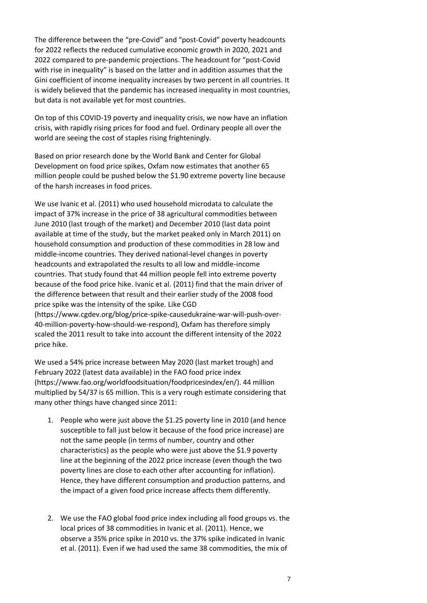The difference between the "pre-Covid" and "post-Covid" poverty headcounts for 2022 reflects the reduced cumulative economic growth in 2020, 2021 and 2022 compared to pre-pandemic projections. The headcount for "post-Covid with rise in inequality" is based on the latter and in addition assumes that the Gini coefficient of income inequality increases by two percent in all countries. It is widely believed that the pandemic has increased inequality in most countries, but data is not available yet for most countries.

On top of this COVID-19 poverty and inequality crisis, we now have an inflation crisis, with rapidly rising prices for food and fuel. Ordinary people all over the world are seeing the cost of staples rising frighteningly.

Based on prior research done by the World Bank and Center for Global Development on food price spikes, Oxfam now estimates that another 65 million people could be pushed below the \$1.90 extreme poverty line because of the harsh increases in food prices.

We use Ivanic et al. (2011) who used household microdata to calculate the impact of 37% increase in the price of 38 agricultural commodities between June 2010 (last trough of the market) and December 2010 (last data point available at time of the study, but the market peaked only in March 2011) on household consumption and production of these commodities in 28 low and middle-income countries. They derived national-level changes in poverty headcounts and extrapolated the results to all low and middle-income countries. That study found that 44 million people fell into extreme poverty because of the food price hike. Ivanic et al. (2011) find that the main driver of the difference between that result and their earlier study of the 2008 food price spike was the intensity of the spike. Like CGD (https://www.cgdev.org/blog/price-spike-causedukraine-war-will-push-over-40-million-poverty-how-should-we-respond), Oxfam has therefore simply scaled the 2011 result to take into account the different intensity of the 2022 price hike.

We used a 54% price increase between May 2020 (last market trough) and February 2022 (latest data available) in the FAO food price index (https://www.fao.org/worldfoodsituation/foodpricesindex/en/). 44 million multiplied by 54/37 is 65 million. This is a very rough estimate considering that many other things have changed since 2011:

- 1. People who were just above the \$1.25 poverty line in 2010 (and hence susceptible to fall just below it because of the food price increase) are not the same people (in terms of number, country and other characteristics) as the people who were just above the \$1.9 poverty line at the beginning of the 2022 price increase (even though the two poverty lines are close to each other after accounting for inflation). Hence, they have different consumption and production patterns, and the impact of a given food price increase affects them differently.
- 2. We use the FAO global food price index including all food groups vs. the local prices of 38 commodities in Ivanic et al. (2011). Hence, we observe a 35% price spike in 2010 vs. the 37% spike indicated in Ivanic et al. (2011). Even if we had used the same 38 commodities, the mix of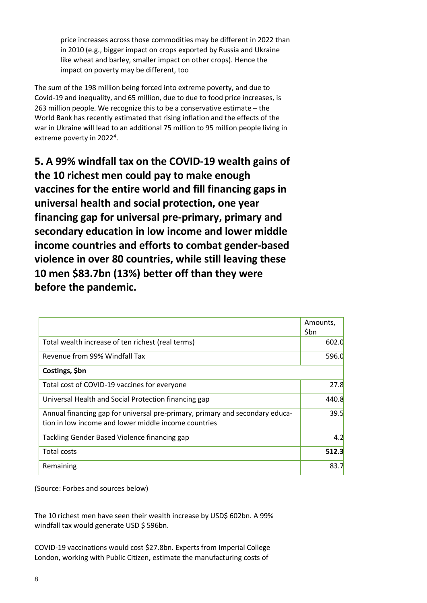price increases across those commodities may be different in 2022 than in 2010 (e.g., bigger impact on crops exported by Russia and Ukraine like wheat and barley, smaller impact on other crops). Hence the impact on poverty may be different, too

The sum of the 198 million being forced into extreme poverty, and due to Covid-19 and inequality, and 65 million, due to due to food price increases, is 263 million people. We recognize this to be a conservative estimate – the World Bank has recently estimated that rising inflation and the effects of the war in Ukraine will lead to an additional 75 million to 95 million people living in extreme poverty in 2022<sup>4</sup>.

**5. A 99% windfall tax on the COVID-19 wealth gains of the 10 richest men could pay to make enough vaccines for the entire world and fill financing gaps in universal health and social protection, one year financing gap for universal pre-primary, primary and secondary education in low income and lower middle income countries and efforts to combat gender-based violence in over 80 countries, while still leaving these 10 men \$83.7bn (13%) better off than they were before the pandemic.**

|                                                                                                                                      | Amounts,<br>\$bn |
|--------------------------------------------------------------------------------------------------------------------------------------|------------------|
| Total wealth increase of ten richest (real terms)                                                                                    | 602.0            |
| Revenue from 99% Windfall Tax                                                                                                        | 596.0            |
| Costings, \$bn                                                                                                                       |                  |
| Total cost of COVID-19 vaccines for everyone                                                                                         | 27.8             |
| Universal Health and Social Protection financing gap                                                                                 | 440.8            |
| Annual financing gap for universal pre-primary, primary and secondary educa-<br>tion in low income and lower middle income countries | 39.5             |
| Tackling Gender Based Violence financing gap                                                                                         | 4.2              |
| <b>Total costs</b>                                                                                                                   | 512.3            |
| Remaining                                                                                                                            | 83.7             |

(Source: Forbes and sources below)

The 10 richest men have seen their wealth increase by USD\$ 602bn. A 99% windfall tax would generate USD \$ 596bn.

COVID-19 vaccinations would cost \$27.8bn. Experts from Imperial College London, working with Public Citizen, estimate the manufacturing costs of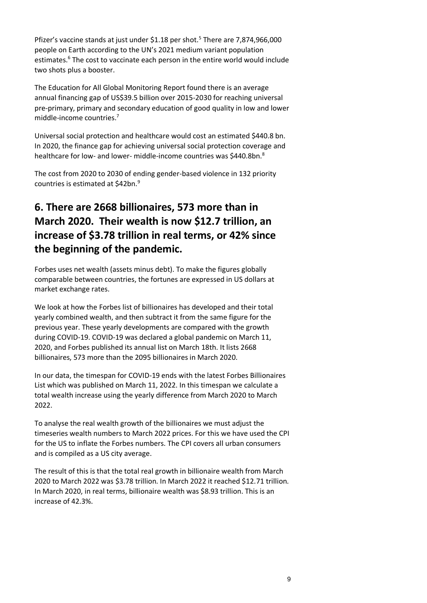Pfizer's vaccine stands at just under \$1.18 per shot.<sup>5</sup> There are 7,874,966,000 people on Earth according to the UN's 2021 medium variant population estimates.<sup>6</sup> The cost to vaccinate each person in the entire world would include two shots plus a booster.

The Education for All Global Monitoring Report found there is an average annual financing gap of US\$39.5 billion over 2015-2030 for reaching universal pre-primary, primary and secondary education of good quality in low and lower middle-income countries.<sup>7</sup>

Universal social protection and healthcare would cost an estimated \$440.8 bn. In 2020, the finance gap for achieving universal social protection coverage and healthcare for low- and lower- middle-income countries was \$440.8bn.<sup>8</sup>

The cost from 2020 to 2030 of ending gender-based violence in 132 priority countries is estimated at \$42bn.<sup>9</sup>

#### **6. There are 2668 billionaires, 573 more than in March 2020. Their wealth is now \$12.7 trillion, an increase of \$3.78 trillion in real terms, or 42% since the beginning of the pandemic.**

Forbes uses net wealth (assets minus debt). To make the figures globally comparable between countries, the fortunes are expressed in US dollars at market exchange rates.

We look at how the Forbes list of billionaires has developed and their total yearly combined wealth, and then subtract it from the same figure for the previous year. These yearly developments are compared with the growth during COVID-19. COVID-19 was declared a global pandemic on March 11, 2020, and Forbes published its annual list on March 18th. It lists 2668 billionaires, 573 more than the 2095 billionaires in March 2020.

In our data, the timespan for COVID-19 ends with the latest Forbes Billionaires List which was published on March 11, 2022. In this timespan we calculate a total wealth increase using the yearly difference from March 2020 to March 2022.

To analyse the real wealth growth of the billionaires we must adjust the timeseries wealth numbers to March 2022 prices. For this we have used the CPI for the US to inflate the Forbes numbers. The CPI covers all urban consumers and is compiled as a US city average.

The result of this is that the total real growth in billionaire wealth from March 2020 to March 2022 was \$3.78 trillion. In March 2022 it reached \$12.71 trillion. In March 2020, in real terms, billionaire wealth was \$8.93 trillion. This is an increase of 42.3%.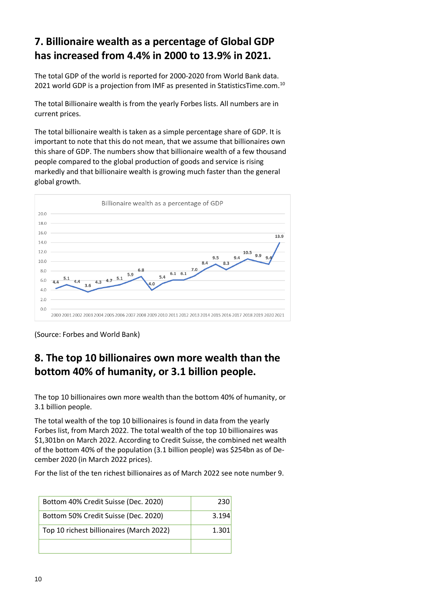#### **7. Billionaire wealth as a percentage of Global GDP has increased from 4.4% in 2000 to 13.9% in 2021.**

The total GDP of the world is reported for 2000-2020 from World Bank data. 2021 world GDP is a projection from IMF as presented in StatisticsTime.com.<sup>10</sup>

The total Billionaire wealth is from the yearly Forbes lists. All numbers are in current prices.

The total billionaire wealth is taken as a simple percentage share of GDP. It is important to note that this do not mean, that we assume that billionaires own this share of GDP. The numbers show that billionaire wealth of a few thousand people compared to the global production of goods and service is rising markedly and that billionaire wealth is growing much faster than the general global growth.



(Source: Forbes and World Bank)

#### **8. The top 10 billionaires own more wealth than the bottom 40% of humanity, or 3.1 billion people.**

The top 10 billionaires own more wealth than the bottom 40% of humanity, or 3.1 billion people.

The total wealth of the top 10 billionaires is found in data from the yearly Forbes list, from March 2022. The total wealth of the top 10 billionaires was \$1,301bn on March 2022. According to Credit Suisse, the combined net wealth of the bottom 40% of the population (3.1 billion people) was \$254bn as of December 2020 (in March 2022 prices).

For the list of the ten richest billionaires as of March 2022 see note number 9.

| Bottom 40% Credit Suisse (Dec. 2020)     | 230   |
|------------------------------------------|-------|
| Bottom 50% Credit Suisse (Dec. 2020)     | 3.194 |
| Top 10 richest billionaires (March 2022) | 1.301 |
|                                          |       |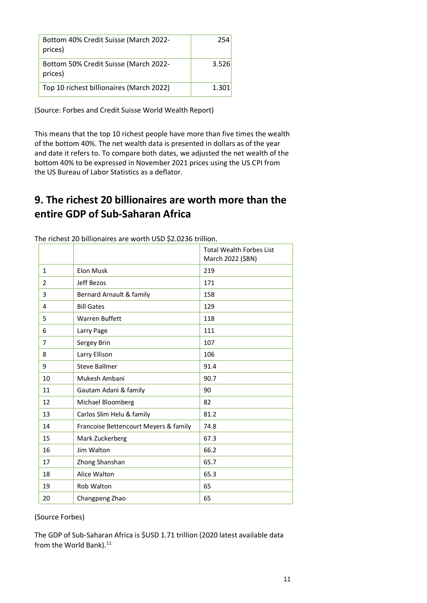| Bottom 40% Credit Suisse (March 2022-<br>prices) | 254   |
|--------------------------------------------------|-------|
| Bottom 50% Credit Suisse (March 2022-<br>prices) | 3.526 |
| Top 10 richest billionaires (March 2022)         | 1.301 |

(Source: Forbes and Credit Suisse World Wealth Report)

This means that the top 10 richest people have more than five times the wealth of the bottom 40%. The net wealth data is presented in dollars as of the year and date it refers to. To compare both dates, we adjusted the net wealth of the bottom 40% to be expressed in November 2021 prices using the US CPI from the US Bureau of Labor Statistics as a deflator.

#### **9. The richest 20 billionaires are worth more than the entire GDP of Sub-Saharan Africa**

|                |                                       | <b>Total Wealth Forbes List</b><br>March 2022 (\$BN) |
|----------------|---------------------------------------|------------------------------------------------------|
| $\mathbf{1}$   | <b>Elon Musk</b>                      | 219                                                  |
| $\overline{2}$ | Jeff Bezos                            | 171                                                  |
| 3              | Bernard Arnault & family              | 158                                                  |
| 4              | <b>Bill Gates</b>                     | 129                                                  |
| 5              | Warren Buffett                        | 118                                                  |
| 6              | Larry Page                            | 111                                                  |
| 7              | Sergey Brin                           | 107                                                  |
| 8              | Larry Ellison                         | 106                                                  |
| 9              | <b>Steve Ballmer</b>                  | 91.4                                                 |
| 10             | Mukesh Ambani                         | 90.7                                                 |
| 11             | Gautam Adani & family                 | 90                                                   |
| 12             | Michael Bloomberg                     | 82                                                   |
| 13             | Carlos Slim Helu & family             | 81.2                                                 |
| 14             | Francoise Bettencourt Meyers & family | 74.8                                                 |
| 15             | Mark Zuckerberg                       | 67.3                                                 |
| 16             | Jim Walton                            | 66.2                                                 |
| 17             | Zhong Shanshan                        | 65.7                                                 |
| 18             | Alice Walton                          | 65.3                                                 |
| 19             | Rob Walton                            | 65                                                   |
| 20             | Changpeng Zhao                        | 65                                                   |

The richest 20 billionaires are worth USD \$2.0236 trillion.

#### (Source Forbes)

The GDP of Sub-Saharan Africa is \$USD 1.71 trillion (2020 latest available data from the World Bank).<sup>11</sup>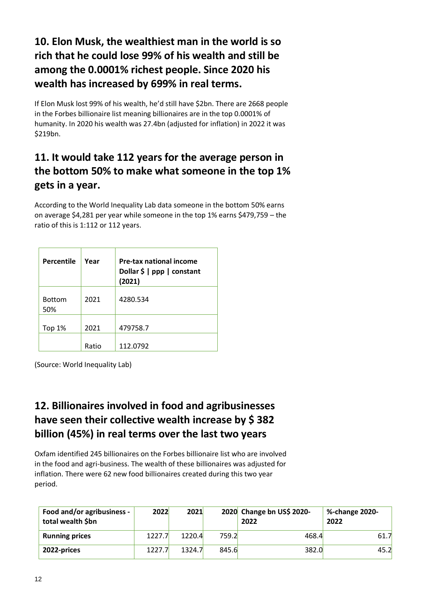#### **10. Elon Musk, the wealthiest man in the world is so rich that he could lose 99% of his wealth and still be among the 0.0001% richest people. Since 2020 his wealth has increased by 699% in real terms.**

If Elon Musk lost 99% of his wealth, he'd still have \$2bn. There are 2668 people in the Forbes billionaire list meaning billionaires are in the top 0.0001% of humanity. In 2020 his wealth was 27.4bn (adjusted for inflation) in 2022 it was \$219bn.

#### **11. It would take 112 years for the average person in the bottom 50% to make what someone in the top 1% gets in a year.**

According to the World Inequality Lab data someone in the bottom 50% earns on average \$4,281 per year while someone in the top 1% earns \$479,759 – the ratio of this is 1:112 or 112 years.

| <b>Percentile</b>    | Year  | Pre-tax national income<br>Dollar \$   ppp   constant<br>(2021) |
|----------------------|-------|-----------------------------------------------------------------|
| <b>Bottom</b><br>50% | 2021  | 4280.534                                                        |
| Top 1%               | 2021  | 479758.7                                                        |
|                      | Ratio | 112.0792                                                        |

(Source: World Inequality Lab)

#### **12. Billionaires involved in food and agribusinesses have seen their collective wealth increase by \$ 382 billion (45%) in real terms over the last two years**

Oxfam identified 245 billionaires on the Forbes billionaire list who are involved in the food and agri-business. The wealth of these billionaires was adjusted for inflation. There were 62 new food billionaires created during this two year period.

| Food and/or agribusiness -<br>total wealth \$bn | 2022   | 2021   |       | 2020 Change bn US\$ 2020-<br>2022 | %-change 2020-<br>2022 |
|-------------------------------------------------|--------|--------|-------|-----------------------------------|------------------------|
| <b>Running prices</b>                           | 1227.7 | 1220.4 | 759.2 | 468.4                             | 61.7                   |
| 2022-prices                                     | 1227.7 | 1324.7 | 845.6 | 382.0                             | 45.2                   |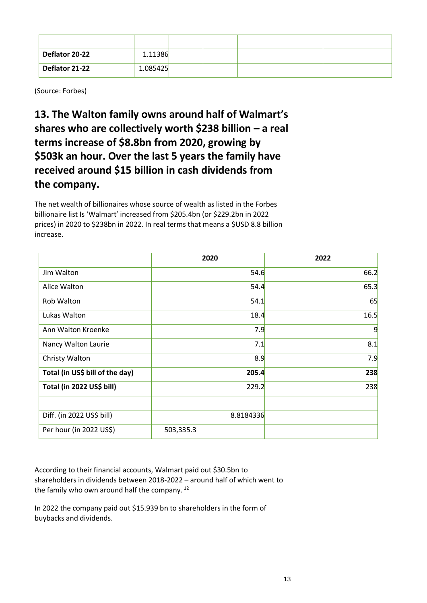| Deflator 20-22 | 1.11386  |  |  |
|----------------|----------|--|--|
| Deflator 21-22 | 1.085425 |  |  |

(Source: Forbes)

**13. The Walton family owns around half of Walmart's shares who are collectively worth \$238 billion – a real terms increase of \$8.8bn from 2020, growing by \$503k an hour. Over the last 5 years the family have received around \$15 billion in cash dividends from the company.**

The net wealth of billionaires whose source of wealth as listed in the Forbes billionaire list Is 'Walmart' increased from \$205.4bn (or \$229.2bn in 2022 prices) in 2020 to \$238bn in 2022. In real terms that means a \$USD 8.8 billion increase.

|                                 | 2020      | 2022 |
|---------------------------------|-----------|------|
| Jim Walton                      | 54.6      | 66.2 |
| Alice Walton                    | 54.4      | 65.3 |
| Rob Walton                      | 54.1      | 65   |
| Lukas Walton                    | 18.4      | 16.5 |
| Ann Walton Kroenke              | 7.9       | 9    |
| Nancy Walton Laurie             | 7.1       | 8.1  |
| Christy Walton                  | 8.9       | 7.9  |
| Total (in US\$ bill of the day) | 205.4     | 238  |
| Total (in 2022 US\$ bill)       | 229.2     | 238  |
|                                 |           |      |
| Diff. (in 2022 US\$ bill)       | 8.8184336 |      |
| Per hour (in 2022 US\$)         | 503,335.3 |      |

According to their financial accounts, Walmart paid out \$30.5bn to shareholders in dividends between 2018-2022 – around half of which went to the family who own around half the company.<sup>12</sup>

In 2022 the company paid out \$15.939 bn to shareholders in the form of buybacks and dividends.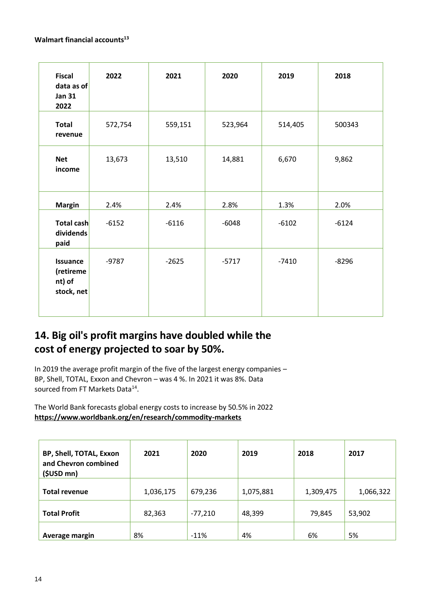#### **Walmart financial accounts<sup>13</sup>**

| <b>Fiscal</b><br>data as of<br><b>Jan 31</b><br>2022 | 2022    | 2021    | 2020    | 2019    | 2018    |
|------------------------------------------------------|---------|---------|---------|---------|---------|
| <b>Total</b><br>revenue                              | 572,754 | 559,151 | 523,964 | 514,405 | 500343  |
| <b>Net</b><br>income                                 | 13,673  | 13,510  | 14,881  | 6,670   | 9,862   |
| <b>Margin</b>                                        | 2.4%    | 2.4%    | 2.8%    | 1.3%    | 2.0%    |
| Total cash<br>dividends<br>paid                      | $-6152$ | $-6116$ | $-6048$ | $-6102$ | $-6124$ |
| <b>Issuance</b><br>(retireme<br>nt) of<br>stock, net | $-9787$ | $-2625$ | $-5717$ | $-7410$ | $-8296$ |

#### **14. Big oil's profit margins have doubled while the cost of energy projected to soar by 50%.**

In 2019 the average profit margin of the five of the largest energy companies – BP, Shell, TOTAL, Exxon and Chevron – was 4 %. In 2021 it was 8%. Data sourced from FT Markets Data<sup>14</sup>.

The World Bank forecasts global energy costs to increase by 50.5% in 2022 **<https://www.worldbank.org/en/research/commodity-markets>**

| <b>BP, Shell, TOTAL, Exxon</b><br>and Chevron combined<br>$(SUSD$ mn) | 2021      | 2020      | 2019      | 2018      | 2017      |
|-----------------------------------------------------------------------|-----------|-----------|-----------|-----------|-----------|
| <b>Total revenue</b>                                                  | 1,036,175 | 679,236   | 1,075,881 | 1,309,475 | 1,066,322 |
| <b>Total Profit</b>                                                   | 82,363    | $-77,210$ | 48,399    | 79,845    | 53,902    |
| Average margin                                                        | 8%        | $-11%$    | 4%        | 6%        | 5%        |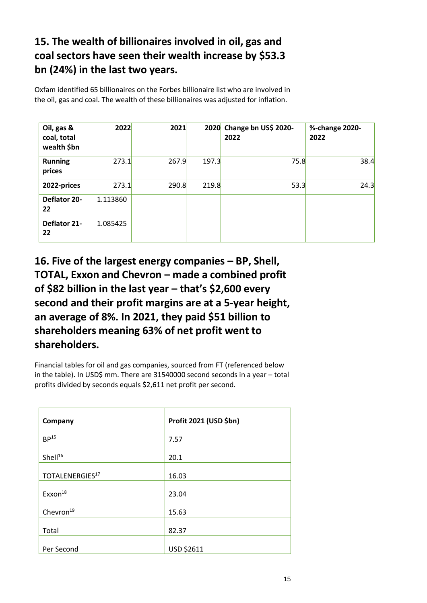#### **15. The wealth of billionaires involved in oil, gas and coal sectors have seen their wealth increase by \$53.3 bn (24%) in the last two years.**

Oxfam identified 65 billionaires on the Forbes billionaire list who are involved in the oil, gas and coal. The wealth of these billionaires was adjusted for inflation.

| Oil, gas &<br>coal, total<br>wealth \$bn | 2022     | 2021  |       | 2020 Change bn US\$ 2020-<br>2022 | %-change 2020-<br>2022 |
|------------------------------------------|----------|-------|-------|-----------------------------------|------------------------|
| <b>Running</b><br>prices                 | 273.1    | 267.9 | 197.3 | 75.8                              | 38.4                   |
| 2022-prices                              | 273.1    | 290.8 | 219.8 | 53.3                              | 24.3                   |
| Deflator 20-<br>22                       | 1.113860 |       |       |                                   |                        |
| Deflator 21-<br>22                       | 1.085425 |       |       |                                   |                        |

**16. Five of the largest energy companies – BP, Shell, TOTAL, Exxon and Chevron – made a combined profit of \$82 billion in the last year – that's \$2,600 every second and their profit margins are at a 5-year height, an average of 8%. In 2021, they paid \$51 billion to shareholders meaning 63% of net profit went to shareholders.**

Financial tables for oil and gas companies, sourced from FT (referenced below in the table). In USD\$ mm. There are 31540000 second seconds in a year – total profits divided by seconds equals \$2,611 net profit per second.

| Company                     | Profit 2021 (USD \$bn) |
|-----------------------------|------------------------|
| BP <sup>15</sup>            | 7.57                   |
| Shell <sup>16</sup>         | 20.1                   |
| TOTALENERGIES <sup>17</sup> | 16.03                  |
| Exxon <sup>18</sup>         | 23.04                  |
| Chevron <sup>19</sup>       | 15.63                  |
| Total                       | 82.37                  |
| Per Second                  | USD \$2611             |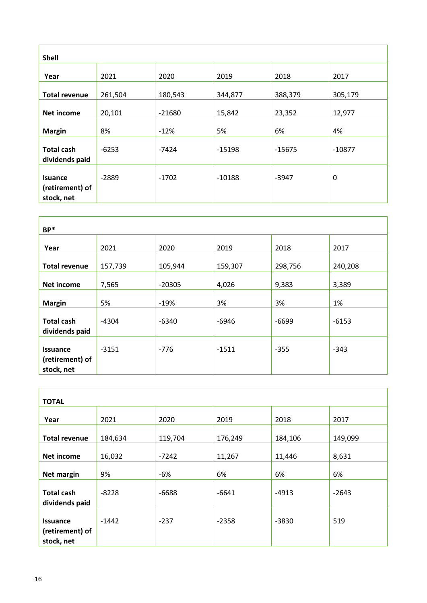| <b>Shell</b>                                    |         |          |          |          |          |
|-------------------------------------------------|---------|----------|----------|----------|----------|
| Year                                            | 2021    | 2020     | 2019     | 2018     | 2017     |
| <b>Total revenue</b>                            | 261,504 | 180,543  | 344,877  | 388,379  | 305,179  |
| <b>Net income</b>                               | 20,101  | $-21680$ | 15,842   | 23,352   | 12,977   |
| <b>Margin</b>                                   | 8%      | $-12%$   | 5%       | 6%       | 4%       |
| <b>Total cash</b><br>dividends paid             | $-6253$ | $-7424$  | $-15198$ | $-15675$ | $-10877$ |
| <b>Isuance</b><br>(retirement) of<br>stock, net | $-2889$ | $-1702$  | $-10188$ | $-3947$  | 0        |

| $BP*$                                            |         |          |         |         |         |
|--------------------------------------------------|---------|----------|---------|---------|---------|
| Year                                             | 2021    | 2020     | 2019    | 2018    | 2017    |
| <b>Total revenue</b>                             | 157,739 | 105,944  | 159,307 | 298,756 | 240,208 |
| <b>Net income</b>                                | 7,565   | $-20305$ | 4,026   | 9,383   | 3,389   |
| <b>Margin</b>                                    | 5%      | $-19%$   | 3%      | 3%      | 1%      |
| <b>Total cash</b><br>dividends paid              | $-4304$ | $-6340$  | $-6946$ | $-6699$ | $-6153$ |
| <b>Issuance</b><br>(retirement) of<br>stock, net | $-3151$ | $-776$   | $-1511$ | $-355$  | $-343$  |

| <b>TOTAL</b>                                     |         |         |         |         |         |
|--------------------------------------------------|---------|---------|---------|---------|---------|
| Year                                             | 2021    | 2020    | 2019    | 2018    | 2017    |
| <b>Total revenue</b>                             | 184,634 | 119,704 | 176,249 | 184,106 | 149,099 |
| <b>Net income</b>                                | 16,032  | $-7242$ | 11,267  | 11,446  | 8,631   |
| Net margin                                       | 9%      | -6%     | 6%      | 6%      | 6%      |
| <b>Total cash</b><br>dividends paid              | $-8228$ | $-6688$ | $-6641$ | $-4913$ | $-2643$ |
| <b>Issuance</b><br>(retirement) of<br>stock, net | $-1442$ | $-237$  | $-2358$ | $-3830$ | 519     |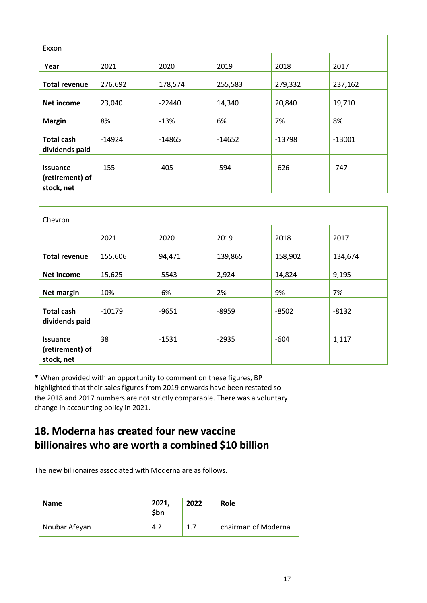| Exxon                                            |         |          |          |          |          |
|--------------------------------------------------|---------|----------|----------|----------|----------|
| Year                                             | 2021    | 2020     | 2019     | 2018     | 2017     |
| <b>Total revenue</b>                             | 276,692 | 178,574  | 255,583  | 279,332  | 237,162  |
| <b>Net income</b>                                | 23,040  | $-22440$ | 14,340   | 20,840   | 19,710   |
| <b>Margin</b>                                    | 8%      | $-13%$   | 6%       | 7%       | 8%       |
| <b>Total cash</b><br>dividends paid              | -14924  | $-14865$ | $-14652$ | $-13798$ | $-13001$ |
| <b>Issuance</b><br>(retirement) of<br>stock, net | $-155$  | $-405$   | $-594$   | $-626$   | $-747$   |

| Chevron                                          |          |         |         |         |         |
|--------------------------------------------------|----------|---------|---------|---------|---------|
|                                                  | 2021     | 2020    | 2019    | 2018    | 2017    |
| <b>Total revenue</b>                             | 155,606  | 94,471  | 139,865 | 158,902 | 134,674 |
| Net income                                       | 15,625   | $-5543$ | 2,924   | 14,824  | 9,195   |
| Net margin                                       | 10%      | $-6%$   | 2%      | 9%      | 7%      |
| <b>Total cash</b><br>dividends paid              | $-10179$ | $-9651$ | $-8959$ | $-8502$ | $-8132$ |
| <b>Issuance</b><br>(retirement) of<br>stock, net | 38       | $-1531$ | $-2935$ | $-604$  | 1,117   |

**\*** When provided with an opportunity to comment on these figures, BP highlighted that their sales figures from 2019 onwards have been restated so the 2018 and 2017 numbers are not strictly comparable. There was a voluntary change in accounting policy in 2021.

#### **18. Moderna has created four new vaccine billionaires who are worth a combined \$10 billion**

The new billionaires associated with Moderna are as follows.

| <b>Name</b>   | 2021,<br>\$bn | 2022 | Role                |
|---------------|---------------|------|---------------------|
| Noubar Afeyan | 1 J           | 1.7  | chairman of Moderna |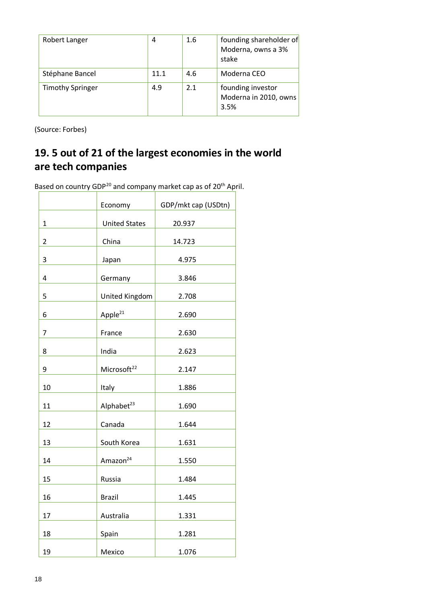| Robert Langer           | 4    | 1.6 | founding shareholder of<br>Moderna, owns a 3%<br>stake |
|-------------------------|------|-----|--------------------------------------------------------|
| Stéphane Bancel         | 11.1 | 4.6 | Moderna CEO                                            |
| <b>Timothy Springer</b> | 4.9  | 2.1 | founding investor<br>Moderna in 2010, owns<br>3.5%     |

(Source: Forbes)

#### **19. 5 out of 21 of the largest economies in the world are tech companies**

Based on country GDP<sup>20</sup> and company market cap as of 20<sup>th</sup> April.

|                | Economy                 | GDP/mkt cap (USDtn) |
|----------------|-------------------------|---------------------|
| $\mathbf{1}$   | <b>United States</b>    | 20.937              |
| $\overline{2}$ | China                   | 14.723              |
| 3              | Japan                   | 4.975               |
|                |                         |                     |
| 4              | Germany                 | 3.846               |
| 5              | United Kingdom          | 2.708               |
| 6              | Apple <sup>21</sup>     | 2.690               |
| $\overline{7}$ | France                  | 2.630               |
| 8              | India                   | 2.623               |
| 9              | Microsoft <sup>22</sup> | 2.147               |
| 10             | Italy                   | 1.886               |
| 11             | Alphabet <sup>23</sup>  | 1.690               |
| 12             | Canada                  | 1.644               |
| 13             | South Korea             | 1.631               |
| 14             | Amazon <sup>24</sup>    | 1.550               |
| 15             | Russia                  | 1.484               |
| 16             | <b>Brazil</b>           | 1.445               |
| 17             | Australia               | 1.331               |
| 18             | Spain                   | 1.281               |
| 19             | Mexico                  | 1.076               |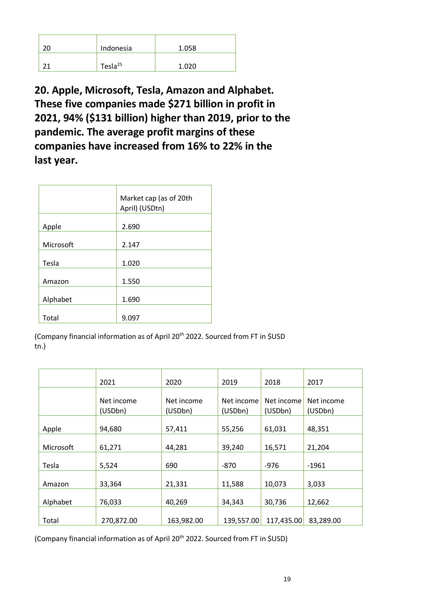| Indonesia           | 1.058 |
|---------------------|-------|
| Tesla <sup>25</sup> | 1.020 |

**20. Apple, Microsoft, Tesla, Amazon and Alphabet. These five companies made \$271 billion in profit in 2021, 94% (\$131 billion) higher than 2019, prior to the pandemic. The average profit margins of these companies have increased from 16% to 22% in the last year.**

|           | Market cap (as of 20th<br>April) (USDtn) |  |  |
|-----------|------------------------------------------|--|--|
| Apple     | 2.690                                    |  |  |
| Microsoft | 2.147                                    |  |  |
| Tesla     | 1.020                                    |  |  |
| Amazon    | 1.550                                    |  |  |
| Alphabet  | 1.690                                    |  |  |
| Total     | 9.097                                    |  |  |

(Company financial information as of April 20<sup>th</sup> 2022. Sourced from FT in \$USD tn.)

|           | 2021       | 2020       | 2019       | 2018       | 2017       |
|-----------|------------|------------|------------|------------|------------|
|           | Net income | Net income | Net income | Net income | Net income |
|           | (USDbn)    | (USDbn)    | (USDbn)    | (USDbn)    | (USDbn)    |
| Apple     | 94,680     | 57,411     | 55,256     | 61,031     | 48,351     |
| Microsoft | 61,271     | 44,281     | 39,240     | 16,571     | 21,204     |
| Tesla     | 5,524      | 690        | $-870$     | $-976$     | $-1961$    |
| Amazon    | 33,364     | 21,331     | 11,588     | 10,073     | 3,033      |
| Alphabet  | 76,033     | 40,269     | 34,343     | 30,736     | 12,662     |
| Total     | 270,872.00 | 163,982.00 | 139,557.00 | 117,435.00 | 83,289.00  |

(Company financial information as of April 20<sup>th</sup> 2022. Sourced from FT in \$USD)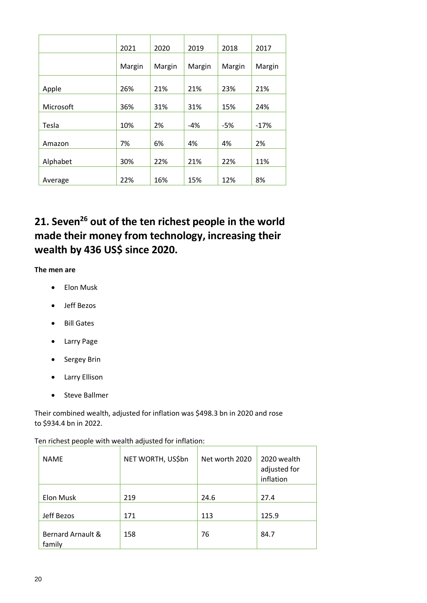|           | 2021   | 2020   | 2019   | 2018   | 2017   |
|-----------|--------|--------|--------|--------|--------|
|           | Margin | Margin | Margin | Margin | Margin |
| Apple     | 26%    | 21%    | 21%    | 23%    | 21%    |
| Microsoft | 36%    | 31%    | 31%    | 15%    | 24%    |
| Tesla     | 10%    | 2%     | $-4%$  | $-5%$  | $-17%$ |
| Amazon    | 7%     | 6%     | 4%     | 4%     | 2%     |
| Alphabet  | 30%    | 22%    | 21%    | 22%    | 11%    |
| Average   | 22%    | 16%    | 15%    | 12%    | 8%     |

### **21. Seven<sup>26</sup> out of the ten richest people in the world made their money from technology, increasing their wealth by 436 US\$ since 2020.**

**The men are** 

- Elon Musk
- Jeff Bezos
- Bill Gates
- Larry Page
- Sergey Brin
- Larry Ellison
- Steve Ballmer

Their combined wealth, adjusted for inflation was \$498.3 bn in 2020 and rose to \$934.4 bn in 2022.

| <b>NAME</b>                 | NET WORTH, US\$bn | Net worth 2020 | 2020 wealth<br>adjusted for<br>inflation |
|-----------------------------|-------------------|----------------|------------------------------------------|
| Elon Musk                   | 219               | 24.6           | 27.4                                     |
|                             |                   |                |                                          |
| Jeff Bezos                  | 171               | 113            | 125.9                                    |
| Bernard Arnault &<br>family | 158               | 76             | 84.7                                     |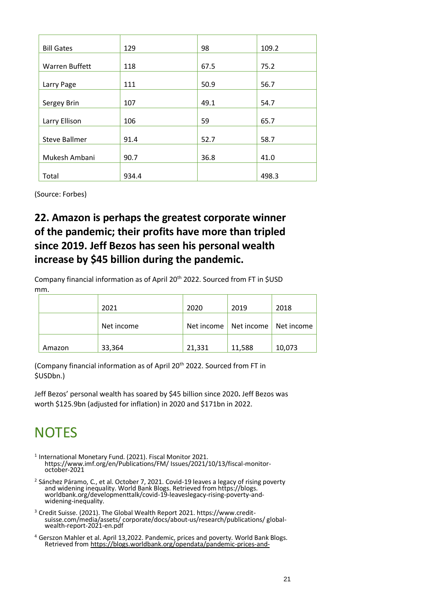| <b>Bill Gates</b>    | 129   | 98   | 109.2 |
|----------------------|-------|------|-------|
|                      |       |      |       |
| Warren Buffett       | 118   | 67.5 | 75.2  |
|                      |       |      |       |
| Larry Page           | 111   | 50.9 | 56.7  |
|                      |       |      |       |
| Sergey Brin          | 107   | 49.1 | 54.7  |
|                      |       |      |       |
| Larry Ellison        | 106   | 59   | 65.7  |
|                      |       |      |       |
| <b>Steve Ballmer</b> | 91.4  | 52.7 | 58.7  |
|                      |       |      |       |
| Mukesh Ambani        | 90.7  | 36.8 | 41.0  |
|                      |       |      |       |
| Total                | 934.4 |      | 498.3 |

(Source: Forbes)

#### **22. Amazon is perhaps the greatest corporate winner of the pandemic; their profits have more than tripled since 2019. Jeff Bezos has seen his personal wealth increase by \$45 billion during the pandemic.**

Company financial information as of April 20th 2022. Sourced from FT in \$USD mm.

|        | 2021       | 2020   | 2019                                 | 2018   |
|--------|------------|--------|--------------------------------------|--------|
|        | Net income |        | Net income   Net income   Net income |        |
| Amazon | 33,364     | 21,331 | 11,588                               | 10,073 |

(Company financial information as of April 20<sup>th</sup> 2022. Sourced from FT in \$USDbn.)

Jeff Bezos' personal wealth has soared by \$45 billion since 2020**.** Jeff Bezos was worth \$125.9bn (adjusted for inflation) in 2020 and \$171bn in 2022.

# **NOTES**

- <sup>1</sup> International Monetary Fund. (2021). Fiscal Monitor 2021. https://www.imf.org/en/Publications/FM/ Issues/2021/10/13/fiscal-monitoroctober-2021
- <sup>2</sup> Sánchez Páramo, C., et al. October 7, 2021. Covid-19 leaves a legacy of rising poverty and widening inequality. World Bank Blogs. Retrieved from https://blogs. worldbank.org/developmenttalk/covid-19-leaveslegacy-rising-poverty-andwidening-inequality.
- <sup>3</sup> Credit Suisse. (2021). The Global Wealth Report 2021. https://www.creditsuisse.com/media/assets/ corporate/docs/about-us/research/publications/ globalwealth-report-2021-en.pdf
- <sup>4</sup> Gerszon Mahler et al. April 13,2022. Pandemic, prices and poverty. World Bank Blogs. Retrieved from [https://blogs.worldbank.org/opendata/pandemic-prices-and-](https://blogs.worldbank.org/opendata/pandemic-prices-and-poverty)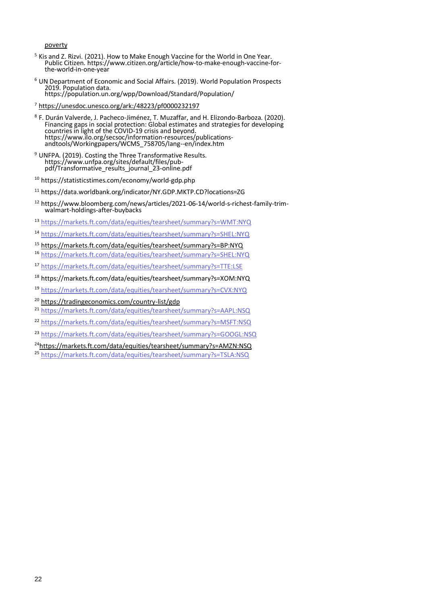[poverty](https://blogs.worldbank.org/opendata/pandemic-prices-and-poverty)

- <sup>5</sup> Kis and Z. Rizvi. (2021). How to Make Enough Vaccine for the World in One Year. Public Citizen. https://www.citizen.org/article/how-to-make-enough-vaccine-forthe-world-in-one-year
- <sup>6</sup> UN Department of Economic and Social Affairs. (2019). World Population Prospects 2019. Population data. https://population.un.org/wpp/Download/Standard/Population/
- <sup>7</sup> <https://unesdoc.unesco.org/ark:/48223/pf0000232197>
- 8 F. Durán Valverde, J. Pacheco-Jiménez, T. Muzaffar, and H. Elizondo-Barboza. (2020). Financing gaps in social protection: Global estimates and strategies for developing countries in light of the COVID-19 crisis and beyond. https://www.ilo.org/secsoc/information-resources/publicationsandtools/Workingpapers/WCMS\_758705/lang--en/index.htm
- <sup>9</sup> UNFPA. (2019). Costing the Three Transformative Results. https://www.unfpa.org/sites/default/files/pubpdf/Transformative\_results\_journal\_23-online.pdf
- <sup>10</sup> https://statisticstimes.com/economy/world-gdp.php
- <sup>11</sup> https://data.worldbank.org/indicator/NY.GDP.MKTP.CD?locations=ZG
- <sup>12</sup> https://www.bloomberg.com/news/articles/2021-06-14/world-s-richest-family-trimwalmart-holdings-after-buybacks
- <sup>13</sup> <https://markets.ft.com/data/equities/tearsheet/summary?s=WMT:NYQ>
- <sup>14</sup> <https://markets.ft.com/data/equities/tearsheet/summary?s=SHEL:NYQ>
- <sup>15</sup> <https://markets.ft.com/data/equities/tearsheet/summary?s=BP:NYQ>
- <sup>16</sup> <https://markets.ft.com/data/equities/tearsheet/summary?s=SHEL:NYQ>
- <sup>17</sup> <https://markets.ft.com/data/equities/tearsheet/summary?s=TTE:LSE>
- <sup>18</sup> https://markets.ft.com/data/equities/tearsheet/summary?s=XOM:NYQ
- <sup>19</sup> <https://markets.ft.com/data/equities/tearsheet/summary?s=CVX:NYQ>
- <sup>20</sup> <https://tradingeconomics.com/country-list/gdp>
- <sup>21</sup> <https://markets.ft.com/data/equities/tearsheet/summary?s=AAPL:NSQ>
- <sup>22</sup> <https://markets.ft.com/data/equities/tearsheet/summary?s=MSFT:NSQ>
- <sup>23</sup> <https://markets.ft.com/data/equities/tearsheet/summary?s=GOOGL:NSQ>
- <sup>24</sup><https://markets.ft.com/data/equities/tearsheet/summary?s=AMZN:NSQ>
- <sup>25</sup> <https://markets.ft.com/data/equities/tearsheet/summary?s=TSLA:NSQ>